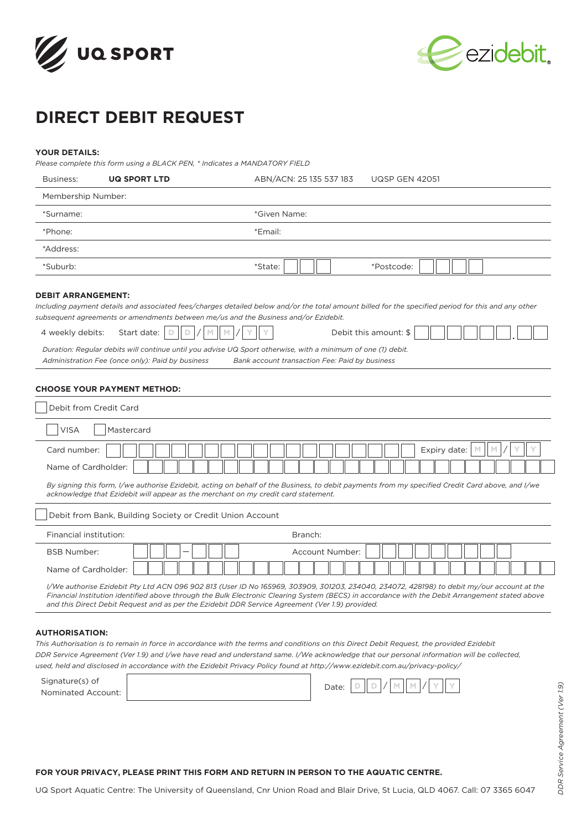



# **DIRECT DEBIT REQUEST**

# **YOUR DETAILS:**

*Please complete this form using a BLACK PEN, \* Indicates a MANDATORY FIELD*

| Business:                                     | <b>UQ SPORT LTD</b>                                                                                                                             | <b>UQSP GEN 42051</b><br>ABN/ACN: 25 135 537 183                                                                                                                                                                                                                                                                                                                                                                                      |
|-----------------------------------------------|-------------------------------------------------------------------------------------------------------------------------------------------------|---------------------------------------------------------------------------------------------------------------------------------------------------------------------------------------------------------------------------------------------------------------------------------------------------------------------------------------------------------------------------------------------------------------------------------------|
| Membership Number:                            |                                                                                                                                                 |                                                                                                                                                                                                                                                                                                                                                                                                                                       |
| *Surname:                                     |                                                                                                                                                 | *Given Name:                                                                                                                                                                                                                                                                                                                                                                                                                          |
| *Phone:                                       |                                                                                                                                                 | *Email:                                                                                                                                                                                                                                                                                                                                                                                                                               |
| *Address:                                     |                                                                                                                                                 |                                                                                                                                                                                                                                                                                                                                                                                                                                       |
| *Suburb:                                      |                                                                                                                                                 | *State:<br>*Postcode:                                                                                                                                                                                                                                                                                                                                                                                                                 |
| <b>DEBIT ARRANGEMENT:</b><br>4 weekly debits: | Start date:<br>D<br>D<br>Administration Fee (once only): Paid by business<br><b>CHOOSE YOUR PAYMENT METHOD:</b>                                 | Including payment details and associated fees/charges detailed below and/or the total amount billed for the specified period for this and any other<br>subsequent agreements or amendments between me/us and the Business and/or Ezidebit.<br>Debit this amount: \$<br>Duration: Regular debits will continue until you advise UQ Sport otherwise, with a minimum of one (1) debit.<br>Bank account transaction Fee: Paid by business |
| <b>VISA</b><br>Card number:                   | Debit from Credit Card<br>Mastercard                                                                                                            | Expiry date:<br>$\mathbb{M}$<br>M                                                                                                                                                                                                                                                                                                                                                                                                     |
| Name of Cardholder:                           |                                                                                                                                                 |                                                                                                                                                                                                                                                                                                                                                                                                                                       |
|                                               | acknowledge that Ezidebit will appear as the merchant on my credit card statement.<br>Debit from Bank, Building Society or Credit Union Account | By signing this form, I/we authorise Ezidebit, acting on behalf of the Business, to debit payments from my specified Credit Card above, and I/we                                                                                                                                                                                                                                                                                      |
| Financial institution:                        |                                                                                                                                                 | Branch:                                                                                                                                                                                                                                                                                                                                                                                                                               |
| <b>BSB Number:</b>                            |                                                                                                                                                 | Account Number:                                                                                                                                                                                                                                                                                                                                                                                                                       |
| Name of Cardholder:                           |                                                                                                                                                 |                                                                                                                                                                                                                                                                                                                                                                                                                                       |
|                                               |                                                                                                                                                 | I/We authorise Ezidebit Pty Ltd ACN 096 902 813 (User ID No 165969, 303909, 301203, 234040, 234072, 428198) to debit my/our account at the<br>Financial Institution identified above through the Bulk Electronic Clearing System (BECS) in accordance with the Debit Arrangement stated above<br>and this Direct Debit Request and as per the Ezidebit DDR Service Agreement (Ver 1.9) provided.                                      |
| <b>AUTHORISATION:</b>                         |                                                                                                                                                 | $\sqrt{2}$                                                                                                                                                                                                                                                                                                                                                                                                                            |

This Authorisation is to remain in force in accordance with the terms and conditions on this Direct Debit Request, the provided Ezidebit *DDR Service Agreement (Ver 1.9) and I/we have read and understand same. I/We acknowledge that our personal information will be collected, used, held and disclosed in accordance with the Ezidebit Privacy Policy found at http://www.ezidebit.com.au/privacy-policy/*

| Signature(s) of    |  | Date: | $\mathbb D$ | ll n l |  |  |  |  |
|--------------------|--|-------|-------------|--------|--|--|--|--|
| Nominated Account: |  |       |             |        |  |  |  |  |

*DDR Service Agreement (Ver 1.9)*

DDR Service Agreement (Ver 1.9)